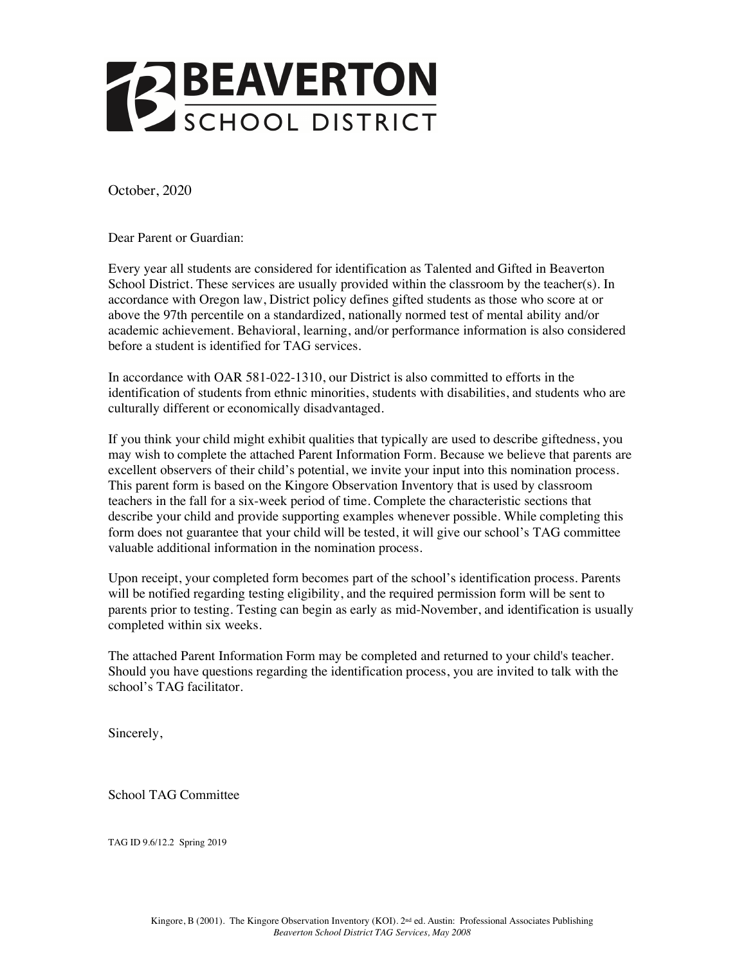

October, 2020

Dear Parent or Guardian:

Every year all students are considered for identification as Talented and Gifted in Beaverton School District. These services are usually provided within the classroom by the teacher(s). In accordance with Oregon law, District policy defines gifted students as those who score at or above the 97th percentile on a standardized, nationally normed test of mental ability and/or academic achievement. Behavioral, learning, and/or performance information is also considered before a student is identified for TAG services.

In accordance with OAR 581-022-1310, our District is also committed to efforts in the identification of students from ethnic minorities, students with disabilities, and students who are culturally different or economically disadvantaged.

If you think your child might exhibit qualities that typically are used to describe giftedness, you may wish to complete the attached Parent Information Form. Because we believe that parents are excellent observers of their child's potential, we invite your input into this nomination process. This parent form is based on the Kingore Observation Inventory that is used by classroom teachers in the fall for a six-week period of time. Complete the characteristic sections that describe your child and provide supporting examples whenever possible. While completing this form does not guarantee that your child will be tested, it will give our school's TAG committee valuable additional information in the nomination process.

Upon receipt, your completed form becomes part of the school's identification process. Parents will be notified regarding testing eligibility, and the required permission form will be sent to parents prior to testing. Testing can begin as early as mid-November, and identification is usually completed within six weeks.

The attached Parent Information Form may be completed and returned to your child's teacher. Should you have questions regarding the identification process, you are invited to talk with the school's TAG facilitator.

Sincerely,

School TAG Committee

TAG ID 9.6/12.2 Spring 2019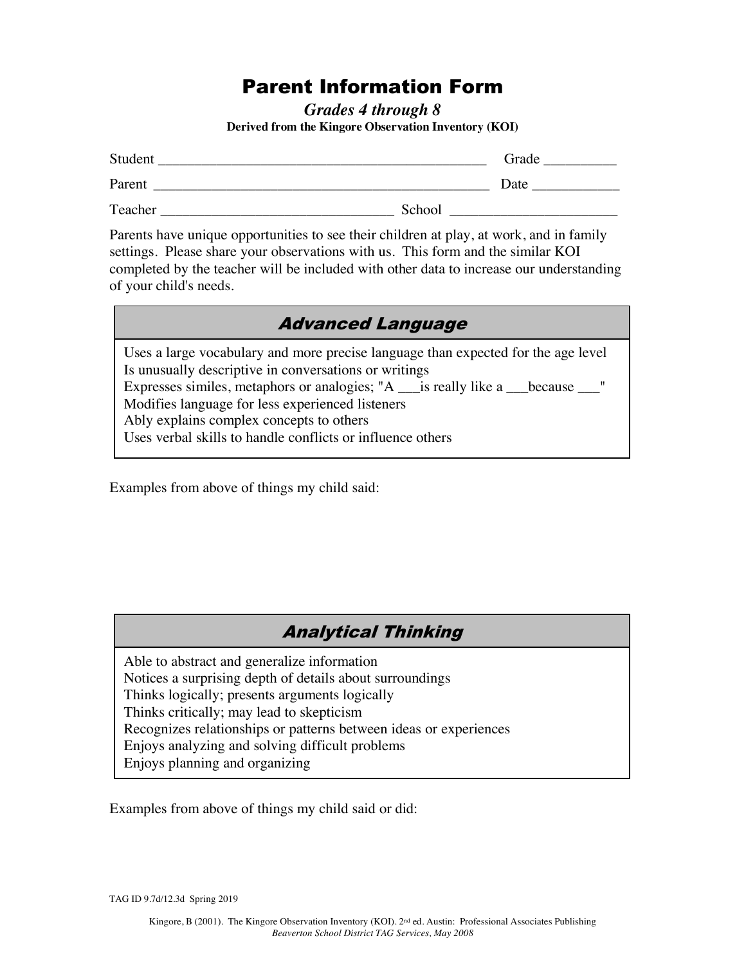# Parent Information Form

*Grades 4 through 8*  **Derived from the Kingore Observation Inventory (KOI)** 

| Student |        | Grade |
|---------|--------|-------|
| Parent  |        | Date  |
| Teacher | School |       |

Parents have unique opportunities to see their children at play, at work, and in family settings. Please share your observations with us. This form and the similar KOI completed by the teacher will be included with other data to increase our understanding of your child's needs.

| <b>Advanced Language</b> |  |
|--------------------------|--|
|--------------------------|--|

Uses a large vocabulary and more precise language than expected for the age level Is unusually descriptive in conversations or writings Expresses similes, metaphors or analogies; "A \_\_\_\_is really like a \_\_\_\_because \_\_\_\_" Modifies language for less experienced listeners Ably explains complex concepts to others Uses verbal skills to handle conflicts or influence others

Examples from above of things my child said:

### Analytical Thinking

Able to abstract and generalize information Notices a surprising depth of details about surroundings Thinks logically; presents arguments logically Thinks critically; may lead to skepticism Recognizes relationships or patterns between ideas or experiences Enjoys analyzing and solving difficult problems Enjoys planning and organizing

Examples from above of things my child said or did:

TAG ID 9.7d/12.3d Spring 2019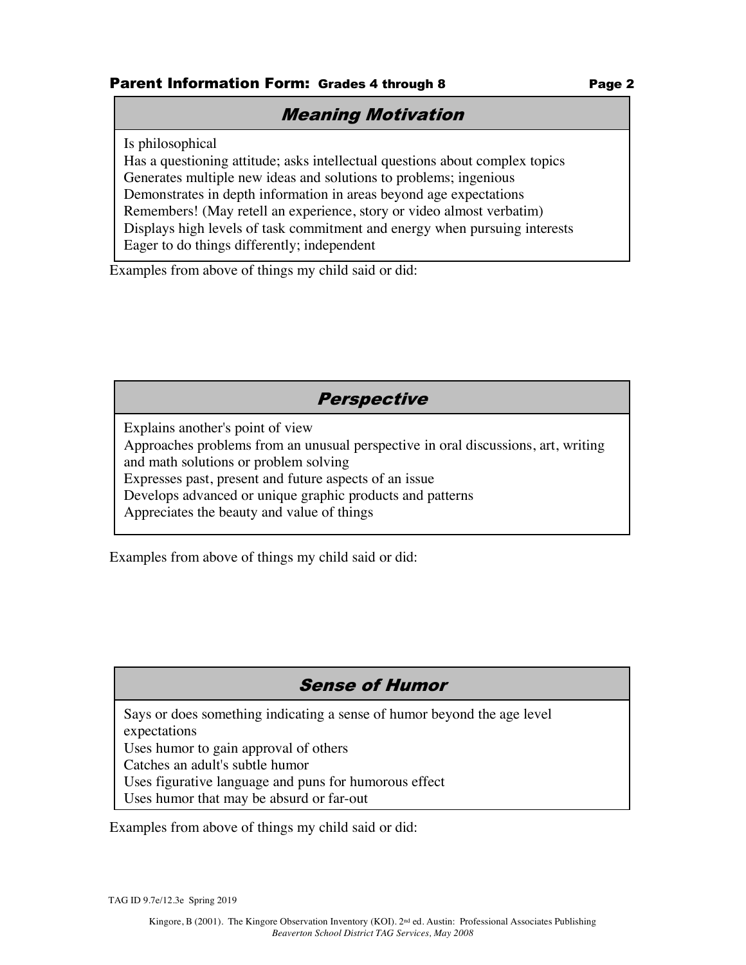#### **Parent Information Form: Grades 4 through 8 Tage 2 Page 2**

### Meaning Motivation

Is philosophical

Has a questioning attitude; asks intellectual questions about complex topics Generates multiple new ideas and solutions to problems; ingenious Demonstrates in depth information in areas beyond age expectations Remembers! (May retell an experience, story or video almost verbatim) Displays high levels of task commitment and energy when pursuing interests Eager to do things differently; independent

Examples from above of things my child said or did:

### **Perspective**

Explains another's point of view Approaches problems from an unusual perspective in oral discussions, art, writing and math solutions or problem solving Expresses past, present and future aspects of an issue Develops advanced or unique graphic products and patterns Appreciates the beauty and value of things

Examples from above of things my child said or did:

## Sense of Humor

Says or does something indicating a sense of humor beyond the age level expectations

Uses humor to gain approval of others

Catches an adult's subtle humor

Uses figurative language and puns for humorous effect

Uses humor that may be absurd or far-out

Examples from above of things my child said or did:  $\frac{1}{2}$  and  $\frac{1}{2}$ amples from above of unings my child s